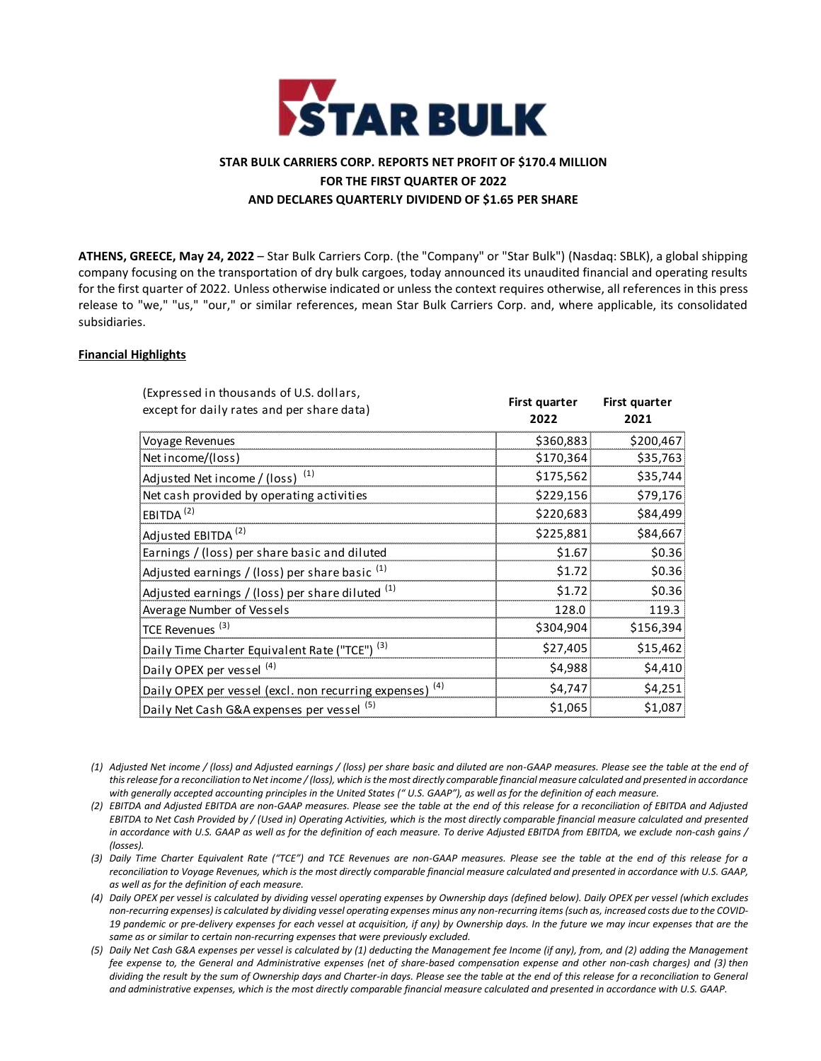

# **STAR BULK CARRIERS CORP. REPORTS NET PROFIT OF \$170.4 MILLION FOR THE FIRST QUARTER OF 2022 AND DECLARES QUARTERLY DIVIDEND OF \$1.65 PER SHARE**

**ATHENS, GREECE, May 24, 2022** – Star Bulk Carriers Corp. (the "Company" or "Star Bulk") (Nasdaq: SBLK), a global shipping company focusing on the transportation of dry bulk cargoes, today announced its unaudited financial and operating results for the first quarter of 2022. Unless otherwise indicated or unless the context requires otherwise, all references in this press release to "we," "us," "our," or similar references, mean Star Bulk Carriers Corp. and, where applicable, its consolidated subsidiaries.

### **Financial Highlights**

| (Expressed in thousands of U.S. dollars,<br>except for daily rates and per share data) | First quarter<br>2022 | First quarter<br>2021 |
|----------------------------------------------------------------------------------------|-----------------------|-----------------------|
| Voyage Revenues                                                                        | \$360,883             | \$200,467             |
| Net income/(loss)                                                                      | \$170,364             | \$35,763              |
| Adjusted Net income / (loss) <sup>(1)</sup>                                            | \$175,562             | \$35,744              |
| Net cash provided by operating activities                                              | \$229,156             | \$79,176              |
| EBITDA <sup>(2)</sup>                                                                  | \$220,683             | \$84,499              |
| Adjusted EBITDA <sup>(2)</sup>                                                         | \$225,881             | \$84,667              |
| Earnings / (loss) per share basic and diluted                                          | \$1.67                | \$0.36                |
| Adjusted earnings / (loss) per share basic <sup>(1)</sup>                              | \$1.72                | \$0.36                |
| Adjusted earnings / (loss) per share diluted <sup>(1)</sup>                            | \$1.72                | \$0.36                |
| Average Number of Vessels                                                              | 128.0                 | 119.3                 |
| TCE Revenues <sup>(3)</sup>                                                            | \$304,904             | \$156,394             |
| Daily Time Charter Equivalent Rate ("TCE") <sup>(3)</sup>                              | \$27,405              | \$15,462              |
| Daily OPEX per vessel (4)                                                              | \$4,988               | \$4,410               |
| Daily OPEX per vessel (excl. non recurring expenses) <sup>(4)</sup>                    | \$4,747               | \$4,251               |
| Daily Net Cash G&A expenses per vessel <sup>(5)</sup>                                  | \$1,065               | \$1,087               |

*<sup>(1)</sup> Adjusted Net income / (loss) and Adjusted earnings / (loss) per share basic and diluted are non-GAAP measures. Please see the table at the end of this release for a reconciliation to Net income / (loss), which is the most directly comparable financial measure calculated and presented in accordance with generally accepted accounting principles in the United States (" U.S. GAAP"), as well as for the definition of each measure.* 

- *(3) Daily Time Charter Equivalent Rate ("TCE") and TCE Revenues are non-GAAP measures. Please see the table at the end of this release for a reconciliation to Voyage Revenues, which is the most directly comparable financial measure calculated and presented in accordance with U.S. GAAP, as well as for the definition of each measure.*
- *(4) Daily OPEX per vessel is calculated by dividing vessel operating expenses by Ownership days (defined below). Daily OPEX per vessel (which excludes non-recurring expenses) is calculated by dividing vessel operating expenses minus any non-recurring items(such as, increased costs due to the COVID-19 pandemic or pre-delivery expenses for each vessel at acquisition, if any) by Ownership days. In the future we may incur expenses that are the same as or similar to certain non-recurring expenses that were previously excluded.*
- *(5) Daily Net Cash G&A expenses per vessel is calculated by (1) deducting the Management fee Income (if any), from, and (2) adding the Management fee expense to, the General and Administrative expenses (net of share-based compensation expense and other non-cash charges) and (3) then*  dividing the result by the sum of Ownership days and Charter-in days. Please see the table at the end of this release for a reconciliation to General *and administrative expenses, which is the most directly comparable financial measure calculated and presented in accordance with U.S. GAAP.*

*<sup>(2)</sup> EBITDA and Adjusted EBITDA are non-GAAP measures. Please see the table at the end of this release for a reconciliation of EBITDA and Adjusted EBITDA to Net Cash Provided by / (Used in) Operating Activities, which is the most directly comparable financial measure calculated and presented in accordance with U.S. GAAP as well as for the definition of each measure. To derive Adjusted EBITDA from EBITDA, we exclude non-cash gains / (losses).*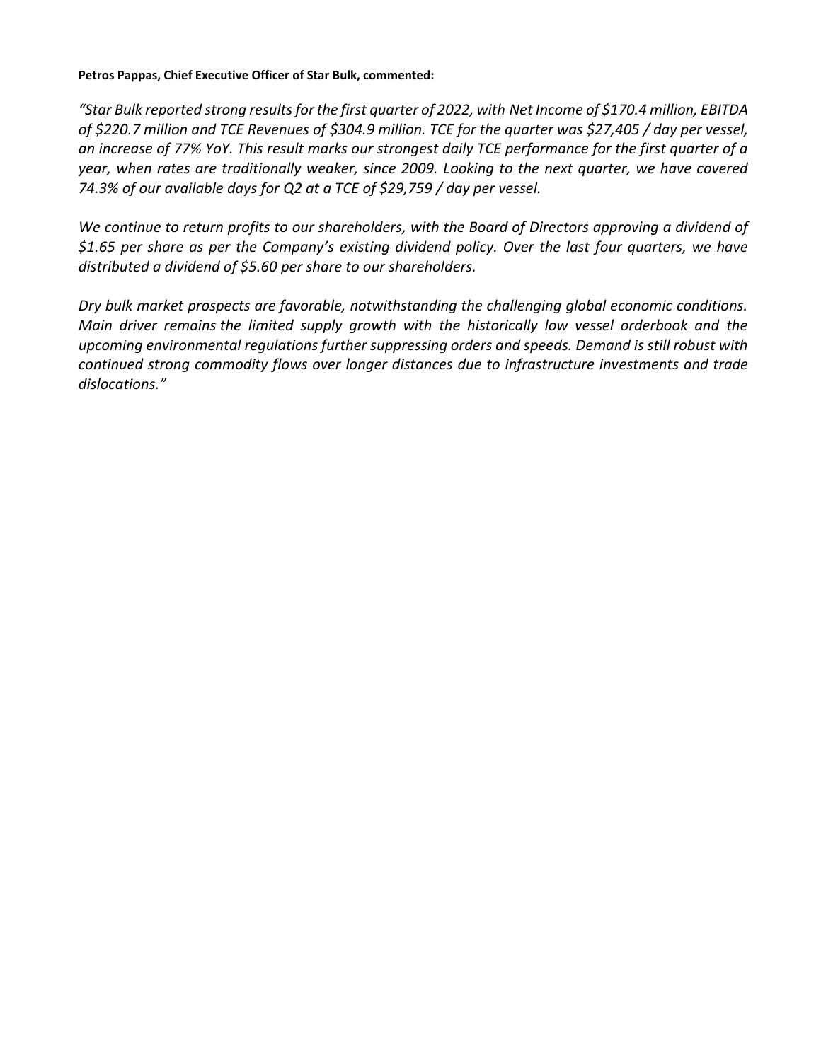## **Petros Pappas, Chief Executive Officer of Star Bulk, commented:**

*"Star Bulk reported strong results for the first quarter of 2022, with Net Income of \$170.4 million, EBITDA of \$220.7 million and TCE Revenues of \$304.9 million. TCE for the quarter was \$27,405 / day per vessel, an increase of 77% YoY. This result marks our strongest daily TCE performance for the first quarter of a year, when rates are traditionally weaker, since 2009. Looking to the next quarter, we have covered 74.3% of our available days for Q2 at a TCE of \$29,759 / day per vessel.*

*We continue to return profits to our shareholders, with the Board of Directors approving a dividend of \$1.65 per share as per the Company's existing dividend policy. Over the last four quarters, we have distributed a dividend of \$5.60 per share to our shareholders.* 

*Dry bulk market prospects are favorable, notwithstanding the challenging global economic conditions. Main driver remains the limited supply growth with the historically low vessel orderbook and the upcoming environmental regulations further suppressing orders and speeds. Demand is still robust with continued strong commodity flows over longer distances due to infrastructure investments and trade dislocations."*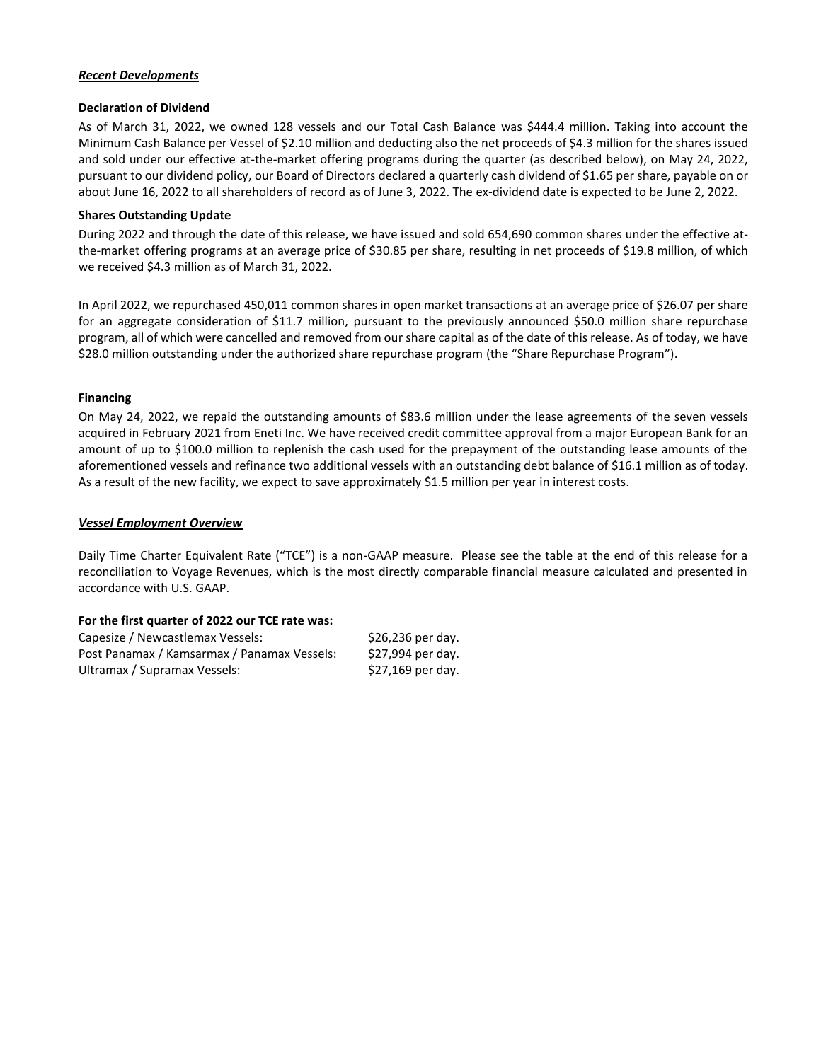### *Recent Developments*

#### **Declaration of Dividend**

As of March 31, 2022, we owned 128 vessels and our Total Cash Balance was \$444.4 million. Taking into account the Minimum Cash Balance per Vessel of \$2.10 million and deducting also the net proceeds of \$4.3 million for the shares issued and sold under our effective at-the-market offering programs during the quarter (as described below), on May 24, 2022, pursuant to our dividend policy, our Board of Directors declared a quarterly cash dividend of \$1.65 per share, payable on or about June 16, 2022 to all shareholders of record as of June 3, 2022. The ex-dividend date is expected to be June 2, 2022.

### **Shares Outstanding Update**

During 2022 and through the date of this release, we have issued and sold 654,690 common shares under the effective atthe-market offering programs at an average price of \$30.85 per share, resulting in net proceeds of \$19.8 million, of which we received \$4.3 million as of March 31, 2022.

In April 2022, we repurchased 450,011 common shares in open market transactions at an average price of \$26.07 per share for an aggregate consideration of \$11.7 million, pursuant to the previously announced \$50.0 million share repurchase program, all of which were cancelled and removed from our share capital as of the date of this release. As of today, we have \$28.0 million outstanding under the authorized share repurchase program (the "Share Repurchase Program").

### **Financing**

On May 24, 2022, we repaid the outstanding amounts of \$83.6 million under the lease agreements of the seven vessels acquired in February 2021 from Eneti Inc. We have received credit committee approval from a major European Bank for an amount of up to \$100.0 million to replenish the cash used for the prepayment of the outstanding lease amounts of the aforementioned vessels and refinance two additional vessels with an outstanding debt balance of \$16.1 million as of today. As a result of the new facility, we expect to save approximately \$1.5 million per year in interest costs.

### *Vessel Employment Overview*

Daily Time Charter Equivalent Rate ("TCE") is a non-GAAP measure. Please see the table at the end of this release for a reconciliation to Voyage Revenues, which is the most directly comparable financial measure calculated and presented in accordance with U.S. GAAP.

## **For the first quarter of 2022 our TCE rate was:**

| Capesize / Newcastlemax Vessels:            | \$26,236 per day.  |
|---------------------------------------------|--------------------|
| Post Panamax / Kamsarmax / Panamax Vessels: | \$27,994 per day.  |
| Ultramax / Supramax Vessels:                | $$27,169$ per day. |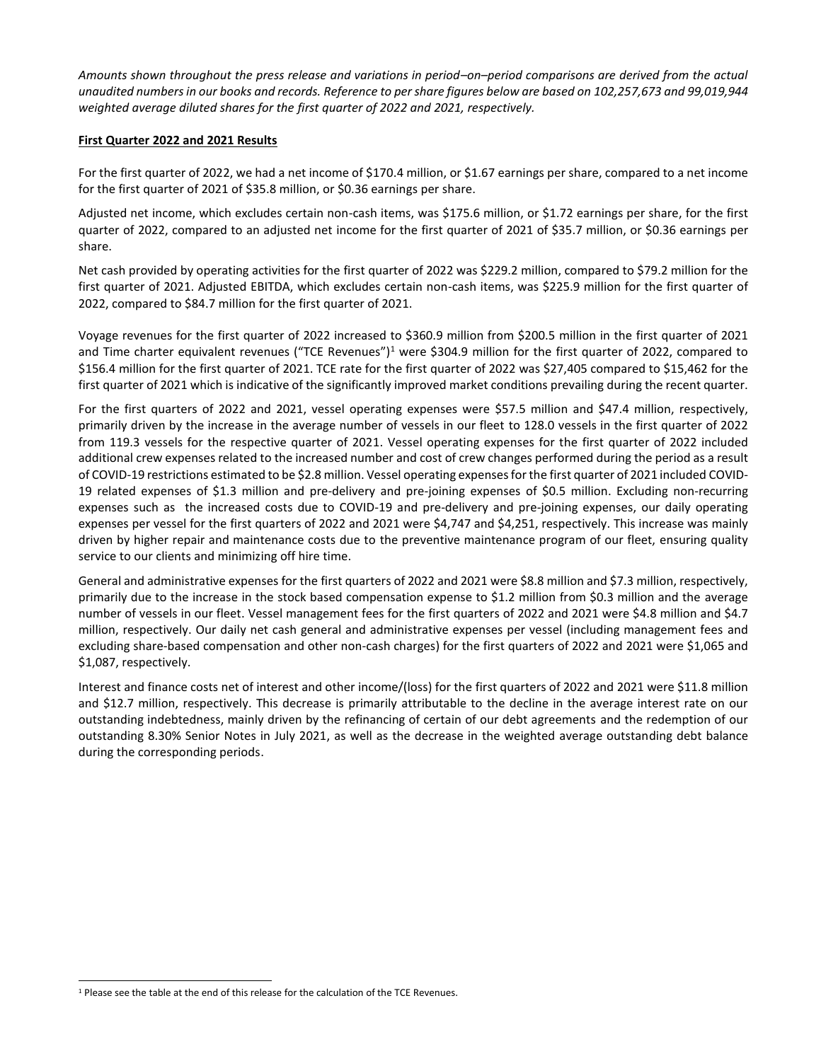*Amounts shown throughout the press release and variations in period–on–period comparisons are derived from the actual unaudited numbers in our books and records. Reference to per share figures below are based on 102,257,673 and 99,019,944 weighted average diluted shares for the first quarter of 2022 and 2021, respectively.*

## **First Quarter 2022 and 2021 Results**

For the first quarter of 2022, we had a net income of \$170.4 million, or \$1.67 earnings per share, compared to a net income for the first quarter of 2021 of \$35.8 million, or \$0.36 earnings per share.

Adjusted net income, which excludes certain non-cash items, was \$175.6 million, or \$1.72 earnings per share, for the first quarter of 2022, compared to an adjusted net income for the first quarter of 2021 of \$35.7 million, or \$0.36 earnings per share.

Net cash provided by operating activities for the first quarter of 2022 was \$229.2 million, compared to \$79.2 million for the first quarter of 2021. Adjusted EBITDA, which excludes certain non-cash items, was \$225.9 million for the first quarter of 2022, compared to \$84.7 million for the first quarter of 2021.

Voyage revenues for the first quarter of 2022 increased to \$360.9 million from \$200.5 million in the first quarter of 2021 and Time charter equivalent revenues ("TCE Revenues")<sup>1</sup> were \$304.9 million for the first quarter of 2022, compared to \$156.4 million for the first quarter of 2021. TCE rate for the first quarter of 2022 was \$27,405 compared to \$15,462 for the first quarter of 2021 which is indicative of the significantly improved market conditions prevailing during the recent quarter.

For the first quarters of 2022 and 2021, vessel operating expenses were \$57.5 million and \$47.4 million, respectively, primarily driven by the increase in the average number of vessels in our fleet to 128.0 vessels in the first quarter of 2022 from 119.3 vessels for the respective quarter of 2021. Vessel operating expenses for the first quarter of 2022 included additional crew expenses related to the increased number and cost of crew changes performed during the period as a result of COVID-19 restrictions estimated to be \$2.8 million. Vessel operating expenses for the first quarter of 2021 included COVID-19 related expenses of \$1.3 million and pre-delivery and pre-joining expenses of \$0.5 million. Excluding non-recurring expenses such as the increased costs due to COVID-19 and pre-delivery and pre-joining expenses, our daily operating expenses per vessel for the first quarters of 2022 and 2021 were \$4,747 and \$4,251, respectively. This increase was mainly driven by higher repair and maintenance costs due to the preventive maintenance program of our fleet, ensuring quality service to our clients and minimizing off hire time.

General and administrative expenses for the first quarters of 2022 and 2021 were \$8.8 million and \$7.3 million, respectively, primarily due to the increase in the stock based compensation expense to \$1.2 million from \$0.3 million and the average number of vessels in our fleet. Vessel management fees for the first quarters of 2022 and 2021 were \$4.8 million and \$4.7 million, respectively. Our daily net cash general and administrative expenses per vessel (including management fees and excluding share-based compensation and other non-cash charges) for the first quarters of 2022 and 2021 were \$1,065 and \$1,087, respectively.

Interest and finance costs net of interest and other income/(loss) for the first quarters of 2022 and 2021 were \$11.8 million and \$12.7 million, respectively. This decrease is primarily attributable to the decline in the average interest rate on our outstanding indebtedness, mainly driven by the refinancing of certain of our debt agreements and the redemption of our outstanding 8.30% Senior Notes in July 2021, as well as the decrease in the weighted average outstanding debt balance during the corresponding periods.

<sup>&</sup>lt;sup>1</sup> Please see the table at the end of this release for the calculation of the TCE Revenues.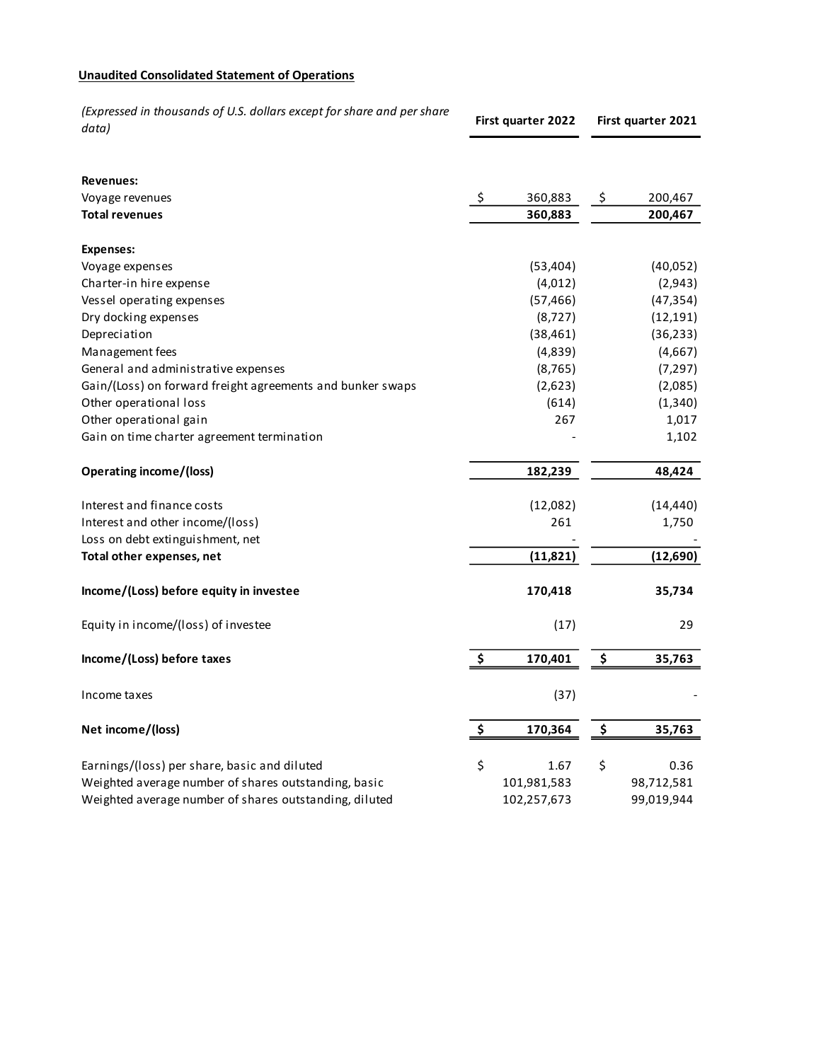# **Unaudited Consolidated Statement of Operations**

*(Expressed in thousands of U.S. dollars except for share and per share data)* **First quarter 2022 First quarter 2021**

| <b>Revenues:</b>                                                                                                                                               |                                          |                                        |
|----------------------------------------------------------------------------------------------------------------------------------------------------------------|------------------------------------------|----------------------------------------|
| Voyage revenues                                                                                                                                                | \$<br>360,883                            | \$<br>200,467                          |
| <b>Total revenues</b>                                                                                                                                          | 360,883                                  | 200,467                                |
| <b>Expenses:</b>                                                                                                                                               |                                          |                                        |
| Voyage expenses                                                                                                                                                | (53, 404)                                | (40, 052)                              |
| Charter-in hire expense                                                                                                                                        | (4,012)                                  | (2,943)                                |
| Vessel operating expenses                                                                                                                                      | (57, 466)                                | (47, 354)                              |
| Dry docking expenses                                                                                                                                           | (8, 727)                                 | (12, 191)                              |
| Depreciation                                                                                                                                                   | (38, 461)                                | (36, 233)                              |
| Management fees                                                                                                                                                | (4,839)                                  | (4,667)                                |
| General and administrative expenses                                                                                                                            | (8, 765)                                 | (7, 297)                               |
| Gain/(Loss) on forward freight agreements and bunker swaps                                                                                                     | (2,623)                                  | (2,085)                                |
| Other operational loss                                                                                                                                         | (614)                                    | (1, 340)                               |
| Other operational gain                                                                                                                                         | 267                                      | 1,017                                  |
| Gain on time charter agreement termination                                                                                                                     |                                          | 1,102                                  |
| <b>Operating income/(loss)</b>                                                                                                                                 | 182,239                                  | 48,424                                 |
| Interest and finance costs                                                                                                                                     | (12,082)                                 | (14, 440)                              |
| Interest and other income/(loss)                                                                                                                               | 261                                      | 1,750                                  |
| Loss on debt extinguishment, net                                                                                                                               |                                          |                                        |
| Total other expenses, net                                                                                                                                      | (11, 821)                                | (12,690)                               |
| Income/(Loss) before equity in investee                                                                                                                        | 170,418                                  | 35,734                                 |
| Equity in income/(loss) of investee                                                                                                                            | (17)                                     | 29                                     |
| Income/(Loss) before taxes                                                                                                                                     | \$<br>170,401                            | \$<br>35,763                           |
| Income taxes                                                                                                                                                   | (37)                                     |                                        |
| Net income/(loss)                                                                                                                                              | \$<br>170,364                            | \$<br>35,763                           |
| Earnings/(loss) per share, basic and diluted<br>Weighted average number of shares outstanding, basic<br>Weighted average number of shares outstanding, diluted | \$<br>1.67<br>101,981,583<br>102,257,673 | \$<br>0.36<br>98,712,581<br>99,019,944 |
|                                                                                                                                                                |                                          |                                        |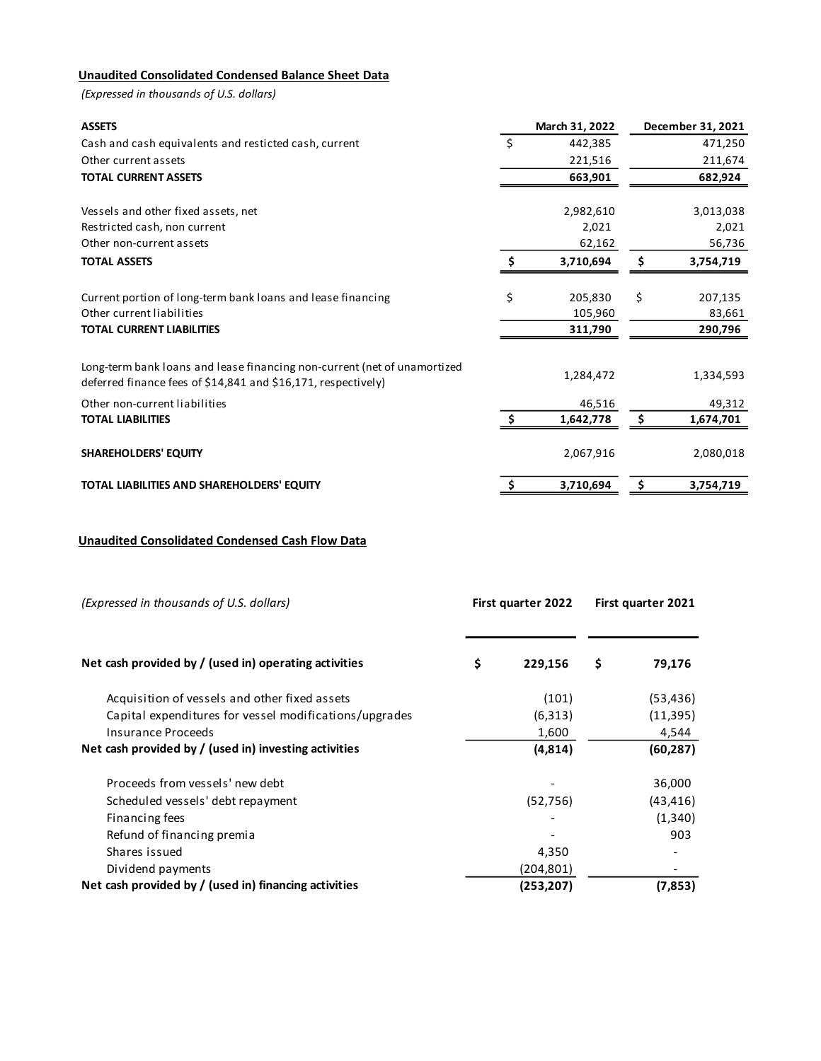# **Unaudited Consolidated Condensed Balance Sheet Data**

*(Expressed in thousands of U.S. dollars)*

| <b>ASSETS</b>                                                                                                                             |     | March 31, 2022 |    | December 31, 2021 |
|-------------------------------------------------------------------------------------------------------------------------------------------|-----|----------------|----|-------------------|
| Cash and cash equivalents and resticted cash, current                                                                                     | Ś   | 442,385        |    | 471,250           |
| Other current assets                                                                                                                      |     | 221,516        |    | 211,674           |
| <b>TOTAL CURRENT ASSETS</b>                                                                                                               |     | 663,901        |    | 682,924           |
| Vessels and other fixed assets, net                                                                                                       |     | 2,982,610      |    | 3,013,038         |
| Restricted cash, non current                                                                                                              |     | 2,021          |    | 2,021             |
| Other non-current assets                                                                                                                  |     | 62,162         |    | 56,736            |
| <b>TOTAL ASSETS</b>                                                                                                                       | -Ś  | 3,710,694      | \$ | 3,754,719         |
|                                                                                                                                           |     |                |    |                   |
| Current portion of long-term bank loans and lease financing                                                                               | \$  | 205,830        | \$ | 207,135           |
| Other current liabilities                                                                                                                 |     | 105,960        |    | 83,661            |
| <b>TOTAL CURRENT LIABILITIES</b>                                                                                                          |     | 311,790        |    | 290,796           |
| Long-term bank loans and lease financing non-current (net of unamortized<br>deferred finance fees of \$14,841 and \$16,171, respectively) |     | 1,284,472      |    | 1,334,593         |
| Other non-current liabilities                                                                                                             |     | 46,516         |    | 49,312            |
| <b>TOTAL LIABILITIES</b>                                                                                                                  | - Ś | 1,642,778      | Ŝ  | 1,674,701         |
| <b>SHAREHOLDERS' EQUITY</b>                                                                                                               |     | 2,067,916      |    | 2,080,018         |
| TOTAL LIABILITIES AND SHAREHOLDERS' EQUITY                                                                                                |     | 3,710,694      |    | 3,754,719         |

# **Unaudited Consolidated Condensed Cash Flow Data**

| (Expressed in thousands of U.S. dollars)               | First quarter 2022 |            | First quarter 2021 |           |  |
|--------------------------------------------------------|--------------------|------------|--------------------|-----------|--|
| Net cash provided by / (used in) operating activities  | \$                 | 229,156    | \$                 | 79,176    |  |
| Acquisition of vessels and other fixed assets          |                    | (101)      |                    | (53,436)  |  |
| Capital expenditures for vessel modifications/upgrades |                    | (6,313)    |                    | (11, 395) |  |
| Insurance Proceeds                                     |                    | 1,600      |                    | 4,544     |  |
| Net cash provided by / (used in) investing activities  |                    | (4, 814)   |                    | (60, 287) |  |
| Proceeds from vessels' new debt                        |                    |            |                    | 36,000    |  |
| Scheduled vessels' debt repayment                      |                    | (52, 756)  |                    | (43,416)  |  |
| Financing fees                                         |                    |            |                    | (1, 340)  |  |
| Refund of financing premia                             |                    |            |                    | 903       |  |
| Shares issued                                          |                    | 4,350      |                    |           |  |
| Dividend payments                                      |                    | (204,801)  |                    |           |  |
| Net cash provided by / (used in) financing activities  |                    | (253, 207) |                    | (7,853)   |  |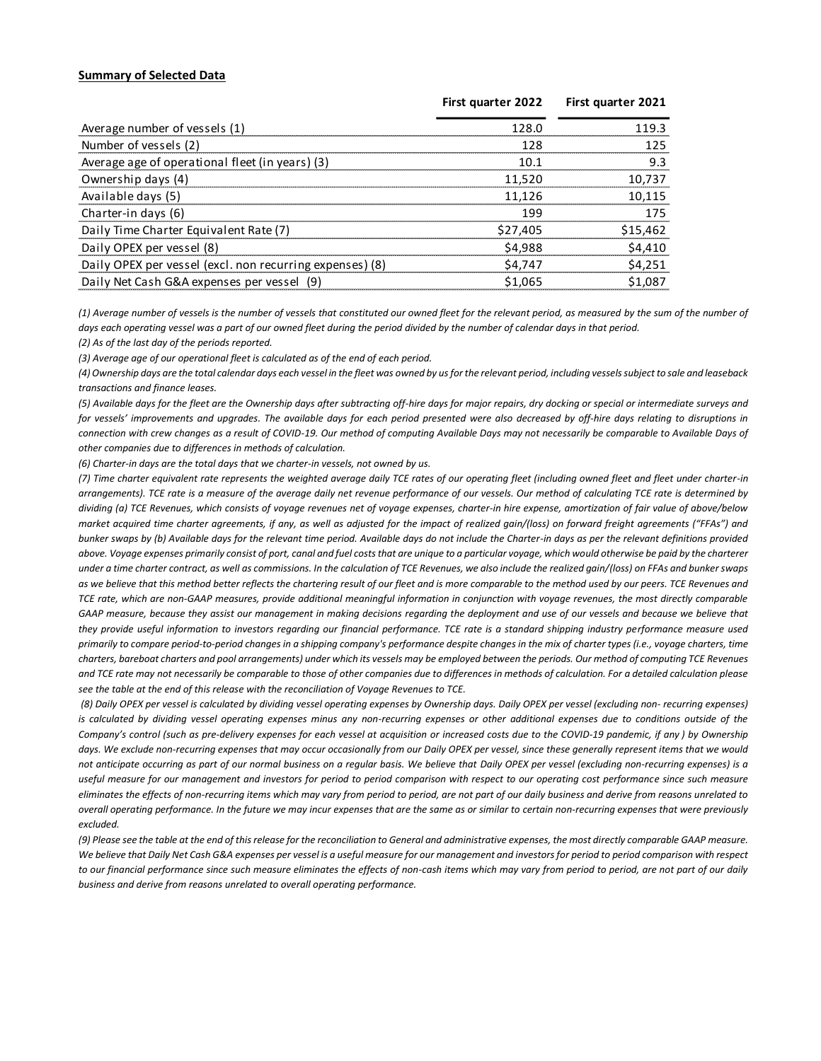#### **Summary of Selected Data**

|                                                          | First quarter 2022 | First quarter 2021 |
|----------------------------------------------------------|--------------------|--------------------|
| Average number of vessels (1)                            | 128.0              | 1193               |
| Number of vessels (2)                                    | 128                | 125                |
| Average age of operational fleet (in years) (3)          | 101                | 9.3                |
| Ownership days (4)                                       | 11,520             | 10,737             |
| Available days (5)                                       | 11,126             | 10,115             |
| Charter-in days (6)                                      | 199                | 175                |
| Daily Time Charter Equivalent Rate (7)                   | \$27,405           | \$15,462           |
| Daily OPEX per vessel (8)                                | \$4,988            | \$4,410            |
| Daily OPEX per vessel (excl. non recurring expenses) (8) | \$4,747            | \$4,251            |
| Daily Net Cash G&A expenses per vessel (9)               | \$1,065            | \$1,087            |

*(1) Average number of vessels is the number of vessels that constituted our owned fleet for the relevant period, as measured by the sum of the number of days each operating vessel was a part of our owned fleet during the period divided by the number of calendar days in that period.* 

*(2) As of the last day of the periods reported.*

*(3) Average age of our operational fleet is calculated as of the end of each period.*

*(4) Ownership days are the total calendar days each vessel in the fleet was owned by usfor the relevant period, including vessels subject to sale and leaseback transactions and finance leases.* 

*(5) Available days for the fleet are the Ownership days after subtracting off-hire days for major repairs, dry docking or special or intermediate surveys and for vessels' improvements and upgrades. The available days for each period presented were also decreased by off-hire days relating to disruptions in connection with crew changes as a result of COVID-19. Our method of computing Available Days may not necessarily be comparable to Available Days of other companies due to differences in methods of calculation.*

*(6) Charter-in days are the total days that we charter-in vessels, not owned by us.*

*(7) Time charter equivalent rate represents the weighted average daily TCE rates of our operating fleet (including owned fleet and fleet under charter-in arrangements). TCE rate is a measure of the average daily net revenue performance of our vessels. Our method of calculating TCE rate is determined by dividing (a) TCE Revenues, which consists of voyage revenues net of voyage expenses, charter-in hire expense, amortization of fair value of above/below market acquired time charter agreements, if any, as well as adjusted for the impact of realized gain/(loss) on forward freight agreements ("FFAs") and bunker swaps by (b) Available days for the relevant time period. Available days do not include the Charter-in days as per the relevant definitions provided above. Voyage expenses primarily consist of port, canal and fuel costs that are unique to a particular voyage, which would otherwise be paid by the charterer under a time charter contract, as well as commissions. In the calculation of TCE Revenues, we also include the realized gain/(loss) on FFAs and bunker swaps as we believe that this method better reflects the chartering result of our fleet and is more comparable to the method used by our peers. TCE Revenues and TCE rate, which are non-GAAP measures, provide additional meaningful information in conjunction with voyage revenues, the most directly comparable GAAP measure, because they assist our management in making decisions regarding the deployment and use of our vessels and because we believe that they provide useful information to investors regarding our financial performance. TCE rate is a standard shipping industry performance measure used primarily to compare period-to-period changes in a shipping company's performance despite changes in the mix of charter types (i.e., voyage charters, time charters, bareboat charters and pool arrangements) under which its vessels may be employed between the periods. Our method of computing TCE Revenues and TCE rate may not necessarily be comparable to those of other companies due to differences in methods of calculation. For a detailed calculation please see the table at the end of this release with the reconciliation of Voyage Revenues to TCE.* 

*(8) Daily OPEX per vessel is calculated by dividing vessel operating expenses by Ownership days. Daily OPEX per vessel (excluding non- recurring expenses) is calculated by dividing vessel operating expenses minus any non-recurring expenses or other additional expenses due to conditions outside of the Company's control (such as pre-delivery expenses for each vessel at acquisition or increased costs due to the COVID-19 pandemic, if any ) by Ownership days. We exclude non-recurring expenses that may occur occasionally from our Daily OPEX per vessel, since these generally represent items that we would not anticipate occurring as part of our normal business on a regular basis. We believe that Daily OPEX per vessel (excluding non-recurring expenses) is a useful measure for our management and investors for period to period comparison with respect to our operating cost performance since such measure eliminates the effects of non-recurring items which may vary from period to period, are not part of our daily business and derive from reasons unrelated to overall operating performance. In the future we may incur expenses that are the same as or similar to certain non-recurring expenses that were previously excluded.*

*(9) Please see the table at the end of this release for the reconciliation to General and administrative expenses, the most directly comparable GAAP measure. We believe that Daily Net Cash G&A expenses per vessel is a useful measure for our management and investors for period to period comparison with respect*  to our financial performance since such measure eliminates the effects of non-cash items which may vary from period to period, are not part of our daily *business and derive from reasons unrelated to overall operating performance.*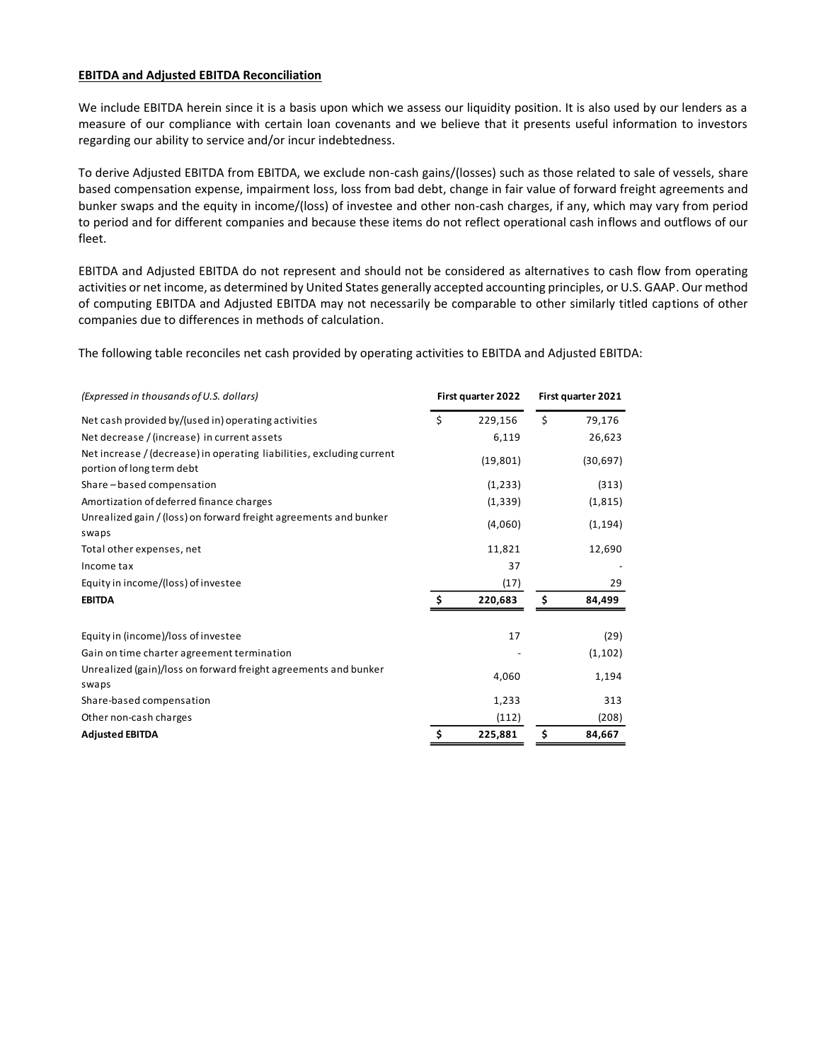#### **EBITDA and Adjusted EBITDA Reconciliation**

We include EBITDA herein since it is a basis upon which we assess our liquidity position. It is also used by our lenders as a measure of our compliance with certain loan covenants and we believe that it presents useful information to investors regarding our ability to service and/or incur indebtedness.

To derive Adjusted EBITDA from EBITDA, we exclude non-cash gains/(losses) such as those related to sale of vessels, share based compensation expense, impairment loss, loss from bad debt, change in fair value of forward freight agreements and bunker swaps and the equity in income/(loss) of investee and other non-cash charges, if any, which may vary from period to period and for different companies and because these items do not reflect operational cash inflows and outflows of our fleet.

EBITDA and Adjusted EBITDA do not represent and should not be considered as alternatives to cash flow from operating activities or net income, as determined by United States generally accepted accounting principles, or U.S. GAAP. Our method of computing EBITDA and Adjusted EBITDA may not necessarily be comparable to other similarly titled captions of other companies due to differences in methods of calculation.

The following table reconciles net cash provided by operating activities to EBITDA and Adjusted EBITDA:

| (Expressed in thousands of U.S. dollars)                                                           | First quarter 2022 |           | First quarter 2021 |           |  |
|----------------------------------------------------------------------------------------------------|--------------------|-----------|--------------------|-----------|--|
| Net cash provided by/(used in) operating activities                                                | \$                 | 229,156   | Ŝ.                 | 79,176    |  |
| Net decrease / (increase) in current assets                                                        |                    | 6,119     |                    | 26,623    |  |
| Net increase / (decrease) in operating liabilities, excluding current<br>portion of long term debt |                    | (19, 801) |                    | (30, 697) |  |
| Share-based compensation                                                                           |                    | (1,233)   |                    | (313)     |  |
| Amortization of deferred finance charges                                                           |                    | (1, 339)  |                    | (1, 815)  |  |
| Unrealized gain / (loss) on forward freight agreements and bunker<br>swaps                         |                    | (4,060)   |                    | (1, 194)  |  |
| Total other expenses, net                                                                          |                    | 11,821    |                    | 12,690    |  |
| Income tax                                                                                         |                    | 37        |                    |           |  |
| Equity in income/(loss) of investee                                                                |                    | (17)      |                    | 29        |  |
| <b>EBITDA</b>                                                                                      | Ŝ.                 | 220,683   | \$                 | 84,499    |  |
| Equity in (income)/loss of investee                                                                |                    | 17        |                    | (29)      |  |
| Gain on time charter agreement termination                                                         |                    |           |                    | (1, 102)  |  |
| Unrealized (gain)/loss on forward freight agreements and bunker<br>swaps                           |                    | 4,060     |                    | 1,194     |  |
| Share-based compensation                                                                           |                    | 1,233     |                    | 313       |  |
| Other non-cash charges                                                                             |                    | (112)     |                    | (208)     |  |
| <b>Adjusted EBITDA</b>                                                                             | \$                 | 225,881   | \$                 | 84,667    |  |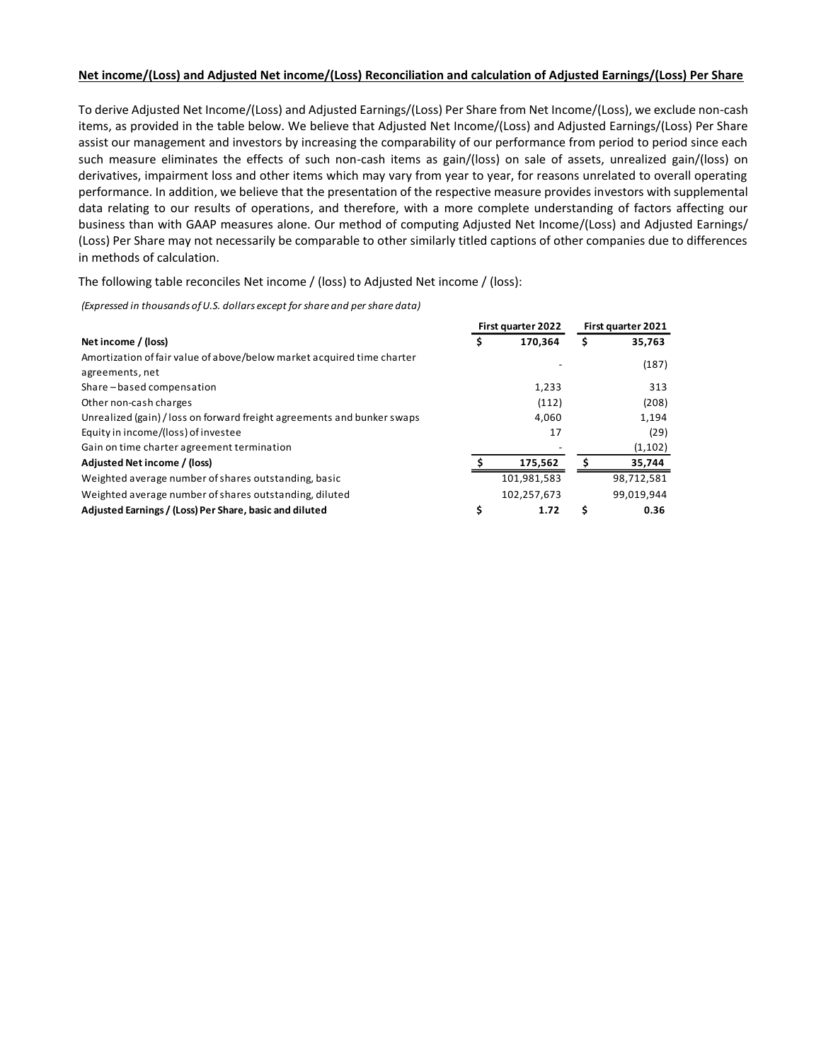## **Net income/(Loss) and Adjusted Net income/(Loss) Reconciliation and calculation of Adjusted Earnings/(Loss) Per Share**

To derive Adjusted Net Income/(Loss) and Adjusted Earnings/(Loss) Per Share from Net Income/(Loss), we exclude non-cash items, as provided in the table below. We believe that Adjusted Net Income/(Loss) and Adjusted Earnings/(Loss) Per Share assist our management and investors by increasing the comparability of our performance from period to period since each such measure eliminates the effects of such non-cash items as gain/(loss) on sale of assets, unrealized gain/(loss) on derivatives, impairment loss and other items which may vary from year to year, for reasons unrelated to overall operating performance. In addition, we believe that the presentation of the respective measure provides investors with supplemental data relating to our results of operations, and therefore, with a more complete understanding of factors affecting our business than with GAAP measures alone. Our method of computing Adjusted Net Income/(Loss) and Adjusted Earnings/ (Loss) Per Share may not necessarily be comparable to other similarly titled captions of other companies due to differences in methods of calculation.

The following table reconciles Net income / (loss) to Adjusted Net income / (loss):

*(Expressed in thousands of U.S. dollars except for share and per share data)*

|                                                                         |    | First quarter 2022 |   | First quarter 2021 |  |
|-------------------------------------------------------------------------|----|--------------------|---|--------------------|--|
| Net income / (loss)                                                     | \$ | 170,364            | s | 35,763             |  |
| Amortization of fair value of above/below market acquired time charter  |    |                    |   | (187)              |  |
| agreements, net                                                         |    |                    |   |                    |  |
| Share-based compensation                                                |    | 1.233              |   | 313                |  |
| Other non-cash charges                                                  |    | (112)              |   | (208)              |  |
| Unrealized (gain) / loss on forward freight agreements and bunker swaps |    | 4,060              |   | 1,194              |  |
| Equity in income/(loss) of investee                                     |    | 17                 |   | (29)               |  |
| Gain on time charter agreement termination                              |    |                    |   | (1, 102)           |  |
| Adjusted Net income / (loss)                                            |    | 175,562            |   | 35,744             |  |
| Weighted average number of shares outstanding, basic                    |    | 101,981,583        |   | 98,712,581         |  |
| Weighted average number of shares outstanding, diluted                  |    | 102,257,673        |   | 99,019,944         |  |
| Adjusted Earnings / (Loss) Per Share, basic and diluted                 |    | 1.72               | s | 0.36               |  |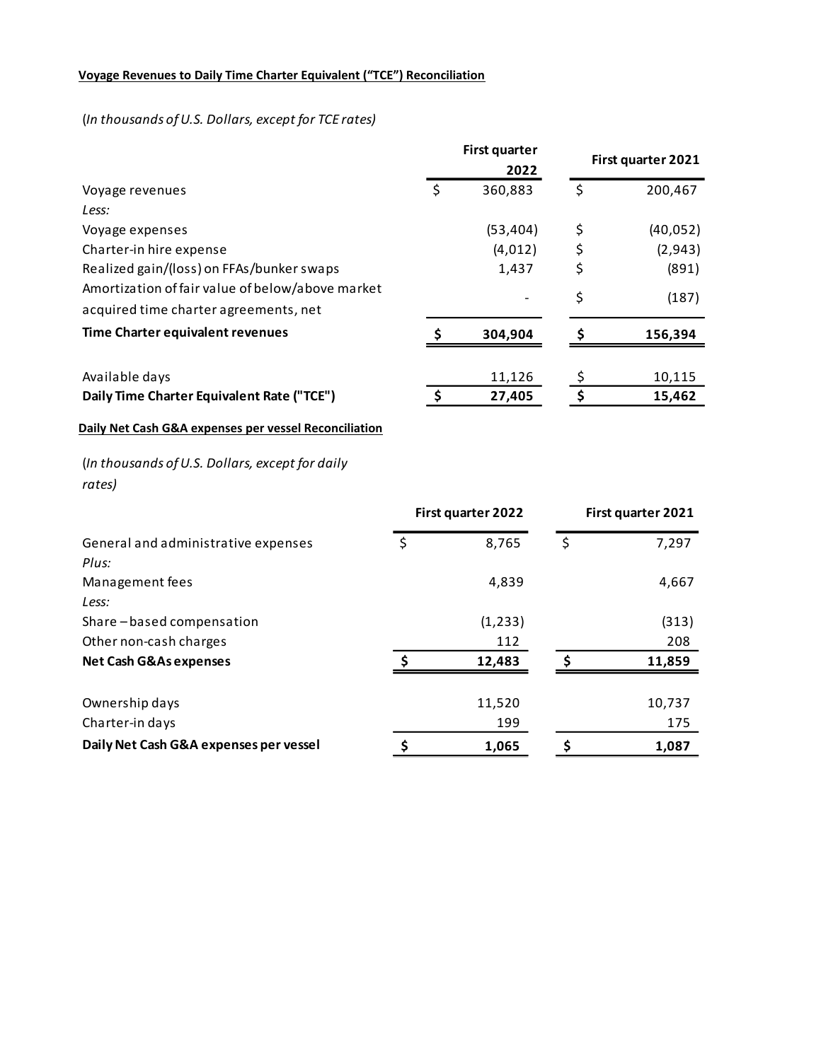# **Voyage Revenues to Daily Time Charter Equivalent ("TCE") Reconciliation**

# (*In thousands of U.S. Dollars, except for TCE rates)*

|                                                  |   | First quarter<br>2022 | First quarter 2021 |           |  |
|--------------------------------------------------|---|-----------------------|--------------------|-----------|--|
| Voyage revenues                                  | S | 360,883               | \$                 | 200,467   |  |
| Less:                                            |   |                       |                    |           |  |
| Voyage expenses                                  |   | (53, 404)             | \$                 | (40, 052) |  |
| Charter-in hire expense                          |   | (4, 012)              | \$                 | (2,943)   |  |
| Realized gain/(loss) on FFAs/bunker swaps        |   | 1,437                 | \$                 | (891)     |  |
| Amortization of fair value of below/above market |   |                       | \$                 | (187)     |  |
| acquired time charter agreements, net            |   |                       |                    |           |  |
| Time Charter equivalent revenues                 |   | 304,904               | S                  | 156,394   |  |
|                                                  |   |                       |                    |           |  |
| Available days                                   |   | 11,126                | \$                 | 10,115    |  |
| Daily Time Charter Equivalent Rate ("TCE")       | Ś | 27,405                | \$                 | 15,462    |  |

# **Daily Net Cash G&A expenses per vessel Reconciliation**

# (*In thousands of U.S. Dollars, except for daily rates)*

|                                        | First quarter 2022 |   | First quarter 2021 |
|----------------------------------------|--------------------|---|--------------------|
| General and administrative expenses    | 8,765              | Ş | 7,297              |
| Plus:                                  |                    |   |                    |
| Management fees                        | 4,839              |   | 4,667              |
| Less:                                  |                    |   |                    |
| Share-based compensation               | (1, 233)           |   | (313)              |
| Other non-cash charges                 | 112                |   | 208                |
| <b>Net Cash G&amp;As expenses</b>      | 12,483             |   | 11,859             |
|                                        |                    |   |                    |
| Ownership days                         | 11,520             |   | 10,737             |
| Charter-in days                        | 199                |   | 175                |
| Daily Net Cash G&A expenses per vessel | 1,065              |   | 1,087              |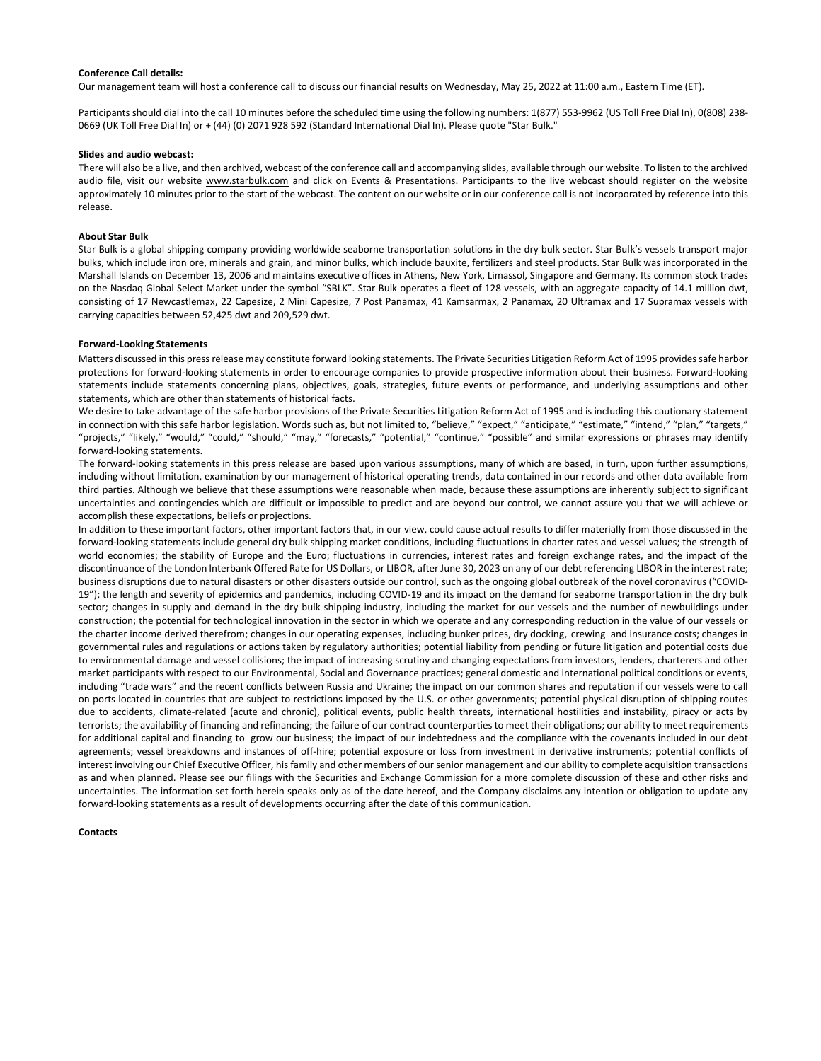#### **Conference Call details:**

Our management team will host a conference call to discuss our financial results on Wednesday, May 25, 2022 at 11:00 a.m., Eastern Time (ET).

Participants should dial into the call 10 minutes before the scheduled time using the following numbers: 1(877) 553-9962 (US Toll Free Dial In), 0(808) 238-0669 (UK Toll Free Dial In) or + (44) (0) 2071 928 592 (Standard International Dial In). Please quote "Star Bulk."

#### **Slides and audio webcast:**

There will also be a live, and then archived, webcast of the conference call and accompanying slides, available through our website. To listen to the archived audio file, visit our website www.starbulk.com and click on Events & Presentations. Participants to the live webcast should register on the website approximately 10 minutes prior to the start of the webcast. The content on our website or in our conference call is not incorporated by reference into this release.

#### **About Star Bulk**

Star Bulk is a global shipping company providing worldwide seaborne transportation solutions in the dry bulk sector. Star Bulk's vessels transport major bulks, which include iron ore, minerals and grain, and minor bulks, which include bauxite, fertilizers and steel products. Star Bulk was incorporated in the Marshall Islands on December 13, 2006 and maintains executive offices in Athens, New York, Limassol, Singapore and Germany. Its common stock trades on the Nasdaq Global Select Market under the symbol "SBLK". Star Bulk operates a fleet of 128 vessels, with an aggregate capacity of 14.1 million dwt, consisting of 17 Newcastlemax, 22 Capesize, 2 Mini Capesize, 7 Post Panamax, 41 Kamsarmax, 2 Panamax, 20 Ultramax and 17 Supramax vessels with carrying capacities between 52,425 dwt and 209,529 dwt.

#### **Forward-Looking Statements**

Matters discussed in this press release may constitute forward looking statements. The Private Securities Litigation Reform Act of 1995 provides safe harbor protections for forward-looking statements in order to encourage companies to provide prospective information about their business. Forward-looking statements include statements concerning plans, objectives, goals, strategies, future events or performance, and underlying assumptions and other statements, which are other than statements of historical facts.

We desire to take advantage of the safe harbor provisions of the Private Securities Litigation Reform Act of 1995 and is including this cautionary statement in connection with this safe harbor legislation. Words such as, but not limited to, "believe," "expect," "anticipate," "estimate," "intend," "plan," "targets," "projects," "likely," "would," "could," "should," "may," "forecasts," "potential," "continue," "possible" and similar expressions or phrases may identify forward-looking statements.

The forward-looking statements in this press release are based upon various assumptions, many of which are based, in turn, upon further assumptions, including without limitation, examination by our management of historical operating trends, data contained in our records and other data available from third parties. Although we believe that these assumptions were reasonable when made, because these assumptions are inherently subject to significant uncertainties and contingencies which are difficult or impossible to predict and are beyond our control, we cannot assure you that we will achieve or accomplish these expectations, beliefs or projections.

In addition to these important factors, other important factors that, in our view, could cause actual results to differ materially from those discussed in the forward-looking statements include general dry bulk shipping market conditions, including fluctuations in charter rates and vessel values; the strength of world economies; the stability of Europe and the Euro; fluctuations in currencies, interest rates and foreign exchange rates, and the impact of the discontinuance of the London Interbank Offered Rate for US Dollars, or LIBOR, after June 30, 2023 on any of our debt referencing LIBOR in the interest rate; business disruptions due to natural disasters or other disasters outside our control, such as the ongoing global outbreak of the novel coronavirus ("COVID-19"); the length and severity of epidemics and pandemics, including COVID-19 and its impact on the demand for seaborne transportation in the dry bulk sector; changes in supply and demand in the dry bulk shipping industry, including the market for our vessels and the number of newbuildings under construction; the potential for technological innovation in the sector in which we operate and any corresponding reduction in the value of our vessels or the charter income derived therefrom; changes in our operating expenses, including bunker prices, dry docking, crewing and insurance costs; changes in governmental rules and regulations or actions taken by regulatory authorities; potential liability from pending or future litigation and potential costs due to environmental damage and vessel collisions; the impact of increasing scrutiny and changing expectations from investors, lenders, charterers and other market participants with respect to our Environmental, Social and Governance practices; general domestic and international political conditions or events, including "trade wars" and the recent conflicts between Russia and Ukraine; the impact on our common shares and reputation if our vessels were to call on ports located in countries that are subject to restrictions imposed by the U.S. or other governments; potential physical disruption of shipping routes due to accidents, climate-related (acute and chronic), political events, public health threats, international hostilities and instability, piracy or acts by terrorists; the availability of financing and refinancing; the failure of our contract counterparties to meet their obligations; our ability to meet requirements for additional capital and financing to grow our business; the impact of our indebtedness and the compliance with the covenants included in our debt agreements; vessel breakdowns and instances of off-hire; potential exposure or loss from investment in derivative instruments; potential conflicts of interest involving our Chief Executive Officer, his family and other members of our senior management and our ability to complete acquisition transactions as and when planned. Please see our filings with the Securities and Exchange Commission for a more complete discussion of these and other risks and uncertainties. The information set forth herein speaks only as of the date hereof, and the Company disclaims any intention or obligation to update any forward‐looking statements as a result of developments occurring after the date of this communication.

#### **Contacts**